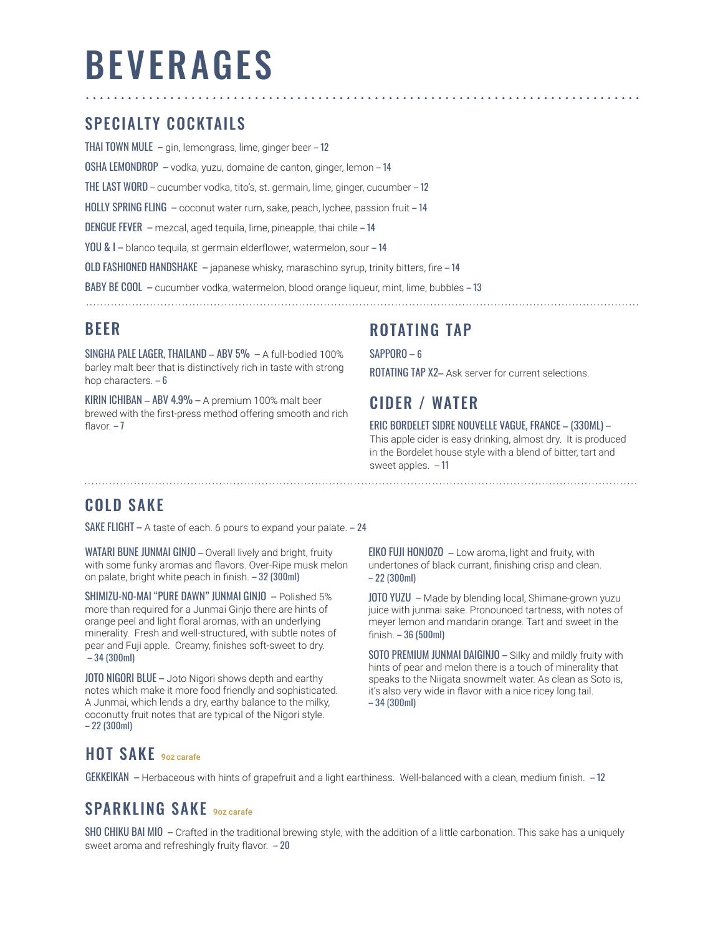# BEVERAGES

## SPECIALTY COCKTAILS

THAI TOWN MULE – gin, lemongrass, lime, ginger beer – 12 OSHA LEMONDROP – vodka, yuzu, domaine de canton, ginger, lemon – 14 THE LAST WORD – cucumber vodka, tito's, st. germain, lime, ginger, cucumber – 12 HOLLY SPRING FLING – coconut water rum, sake, peach, lychee, passion fruit – 14 DENGUE FEVER – mezcal, aged tequila, lime, pineapple, thai chile – 14 YOU & I – blanco tequila, st germain elderflower, watermelon, sour – 14 OLD FASHIONED HANDSHAKE – japanese whisky, maraschino syrup, trinity bitters, fire – 14 BABY BE COOL – cucumber vodka, watermelon, blood orange liqueur, mint, lime, bubbles – 13

## BEER

SINGHA PALE LAGER, THAILAND – ABV 5% – A full-bodied 100% barley malt beer that is distinctively rich in taste with strong hop characters. – 6

KIRIN ICHIBAN – ABV 4.9% – A premium 100% malt beer brewed with the first-press method offering smooth and rich flavor. $-7$ 

# ROTATING TAP

SAPPORO – 6

ROTATING TAP X2– Ask server for current selections.

## CIDER / WATER

#### ERIC BORDELET SIDRE NOUVELLE VAGUE, FRANCE – (330ML) –

This apple cider is easy drinking, almost dry. It is produced in the Bordelet house style with a blend of bitter, tart and sweet apples. – 11

## COLD SAKE

SAKE FLIGHT – A taste of each. 6 pours to expand your palate. – 24

WATARI BUNE JUNMAI GINJO - Overall lively and bright, fruity with some funky aromas and flavors. Over-Ripe musk melon on palate, bright white peach in finish. – 32 (300ml)

SHIMIZU-NO-MAI "PURE DAWN" JUNMAI GINJO – Polished 5% more than required for a Junmai Ginjo there are hints of orange peel and light floral aromas, with an underlying minerality. Fresh and well-structured, with subtle notes of pear and Fuji apple. Creamy, finishes soft-sweet to dry. – 34 (300ml)

JOTO NIGORI BLUE – Joto Nigori shows depth and earthy notes which make it more food friendly and sophisticated. A Junmai, which lends a dry, earthy balance to the milky, coconutty fruit notes that are typical of the Nigori style. – 22 (300ml)

EIKO FUJI HONJOZO – Low aroma, light and fruity, with undertones of black currant, finishing crisp and clean. – 22 (300ml)

JOTO YUZU – Made by blending local, Shimane-grown yuzu juice with junmai sake. Pronounced tartness, with notes of meyer lemon and mandarin orange. Tart and sweet in the finish. – 36 (500ml)

SOTO PREMIUM JUNMAI DAIGINJO – Silky and mildly fruity with hints of pear and melon there is a touch of minerality that speaks to the Niigata snowmelt water. As clean as Soto is, it's also very wide in flavor with a nice ricey long tail. – 34 (300ml)

# HOT SAKE 90Z carafe

GEKKEIKAN – Herbaceous with hints of grapefruit and a light earthiness. Well-balanced with a clean, medium finish. – 12

# SPARKLING SAKE 9oz carafe

SHO CHIKU BAI MIO – Crafted in the traditional brewing style, with the addition of a little carbonation. This sake has a uniquely sweet aroma and refreshingly fruity flavor. – 20